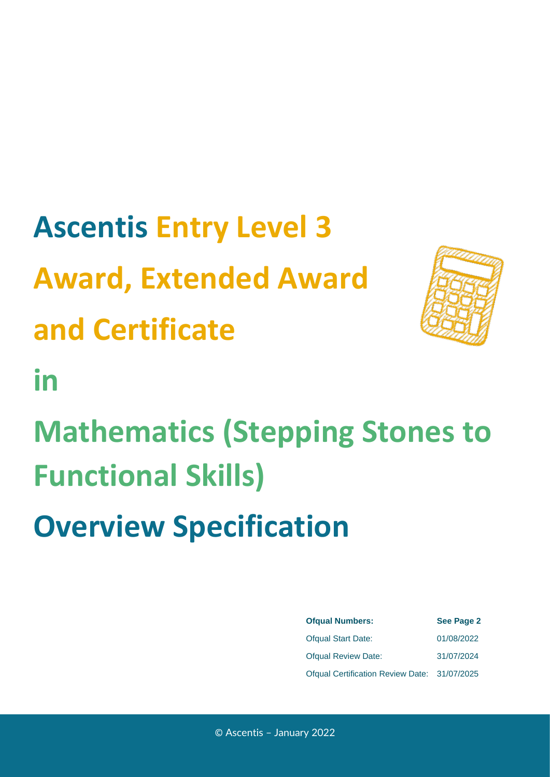# **Ascentis Entry Level 3 Award, Extended Award and Certificate**



**in**

**Mathematics (Stepping Stones to Functional Skills)**

**Overview Specification**

| <b>Ofqual Numbers:</b>                       | <b>See Page 2</b> |
|----------------------------------------------|-------------------|
| <b>Ofqual Start Date:</b>                    | 01/08/2022        |
| <b>Ofqual Review Date:</b>                   | 31/07/2024        |
| Ofqual Certification Review Date: 31/07/2025 |                   |

© Ascentis – January 2022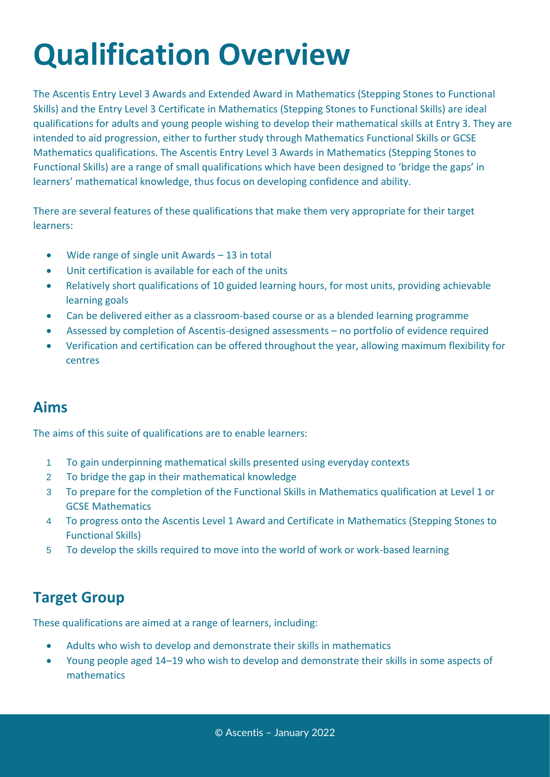## **Qualification Overview**

The Ascentis Entry Level 3 Awards and Extended Award in Mathematics (Stepping Stones to Functional Skills) and the Entry Level 3 Certificate in Mathematics (Stepping Stones to Functional Skills) are ideal qualifications for adults and young people wishing to develop their mathematical skills at Entry 3. They are intended to aid progression, either to further study through Mathematics Functional Skills or GCSE Mathematics qualifications. The Ascentis Entry Level 3 Awards in Mathematics (Stepping Stones to Functional Skills) are a range of small qualifications which have been designed to 'bridge the gaps' in learners' mathematical knowledge, thus focus on developing confidence and ability.

There are several features of these qualifications that make them very appropriate for their target learners:

- Wide range of single unit Awards 13 in total
- Unit certification is available for each of the units
- Relatively short qualifications of 10 guided learning hours, for most units, providing achievable learning goals
- Can be delivered either as a classroom-based course or as a blended learning programme
- Assessed by completion of Ascentis-designed assessments no portfolio of evidence required
- Verification and certification can be offered throughout the year, allowing maximum flexibility for centres

### **Aims**

The aims of this suite of qualifications are to enable learners:

- 1 To gain underpinning mathematical skills presented using everyday contexts
- 2 To bridge the gap in their mathematical knowledge
- 3 To prepare for the completion of the Functional Skills in Mathematics qualification at Level 1 or GCSE Mathematics
- 4 To progress onto the Ascentis Level 1 Award and Certificate in Mathematics (Stepping Stones to Functional Skills)
- 5 To develop the skills required to move into the world of work or work-based learning

### **Target Group**

These qualifications are aimed at a range of learners, including:

- Adults who wish to develop and demonstrate their skills in mathematics
- Young people aged 14–19 who wish to develop and demonstrate their skills in some aspects of mathematics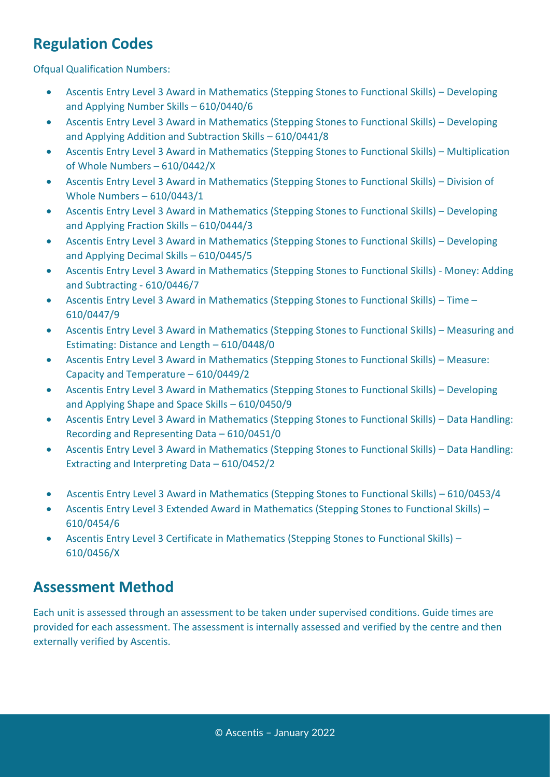## **Regulation Codes**

**Ofqual Qualification Numbers:** 

- Ascentis Entry Level 3 Award in Mathematics (Stepping Stones to Functional Skills) Developing and Applying Number Skills – 610/0440/6
- Ascentis Entry Level 3 Award in Mathematics (Stepping Stones to Functional Skills) Developing and Applying Addition and Subtraction Skills – 610/0441/8
- Ascentis Entry Level 3 Award in Mathematics (Stepping Stones to Functional Skills) Multiplication of Whole Numbers – 610/0442/X
- Ascentis Entry Level 3 Award in Mathematics (Stepping Stones to Functional Skills) Division of Whole Numbers – 610/0443/1
- Ascentis Entry Level 3 Award in Mathematics (Stepping Stones to Functional Skills) Developing and Applying Fraction Skills – 610/0444/3
- Ascentis Entry Level 3 Award in Mathematics (Stepping Stones to Functional Skills) Developing and Applying Decimal Skills – 610/0445/5
- Ascentis Entry Level 3 Award in Mathematics (Stepping Stones to Functional Skills) Money: Adding and Subtracting - 610/0446/7
- Ascentis Entry Level 3 Award in Mathematics (Stepping Stones to Functional Skills) Time 610/0447/9
- Ascentis Entry Level 3 Award in Mathematics (Stepping Stones to Functional Skills) Measuring and Estimating: Distance and Length – 610/0448/0
- Ascentis Entry Level 3 Award in Mathematics (Stepping Stones to Functional Skills) Measure: Capacity and Temperature – 610/0449/2
- Ascentis Entry Level 3 Award in Mathematics (Stepping Stones to Functional Skills) Developing and Applying Shape and Space Skills – 610/0450/9
- Ascentis Entry Level 3 Award in Mathematics (Stepping Stones to Functional Skills) Data Handling: Recording and Representing Data – 610/0451/0
- Ascentis Entry Level 3 Award in Mathematics (Stepping Stones to Functional Skills) Data Handling: Extracting and Interpreting Data – 610/0452/2
- Ascentis Entry Level 3 Award in Mathematics (Stepping Stones to Functional Skills) 610/0453/4
- Ascentis Entry Level 3 Extended Award in Mathematics (Stepping Stones to Functional Skills) 610/0454/6
- Ascentis Entry Level 3 Certificate in Mathematics (Stepping Stones to Functional Skills) 610/0456/X

## **Assessment Method**

Each unit is assessed through an assessment to be taken under supervised conditions. Guide times are provided for each assessment. The assessment is internally assessed and verified by the centre and then externally verified by Ascentis.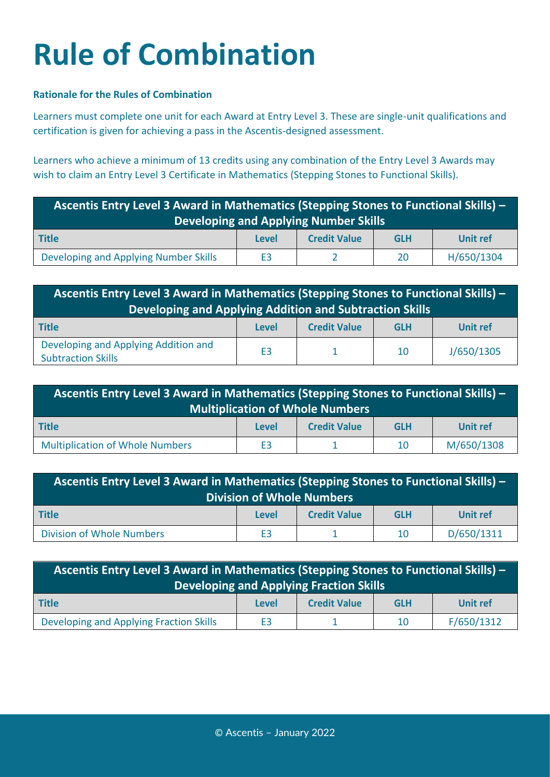## **Rule of Combination**

#### **Rationale for the Rules of Combination**

Learners must complete one unit for each Award at Entry Level 3. These are single-unit qualifications and certification is given for achieving a pass in the Ascentis-designed assessment.

Learners who achieve a minimum of 13 credits using any combination of the Entry Level 3 Awards may wish to claim an Entry Level 3 Certificate in Mathematics (Stepping Stones to Functional Skills).

| Ascentis Entry Level 3 Award in Mathematics (Stepping Stones to Functional Skills) -<br><b>Developing and Applying Number Skills</b> |              |                     |            |                 |
|--------------------------------------------------------------------------------------------------------------------------------------|--------------|---------------------|------------|-----------------|
| Title                                                                                                                                | <b>Level</b> | <b>Credit Value</b> | <b>GLH</b> | <b>Unit ref</b> |
| Developing and Applying Number Skills                                                                                                | E3           |                     | 20         | H/650/1304      |

| Ascentis Entry Level 3 Award in Mathematics (Stepping Stones to Functional Skills) -<br>Developing and Applying Addition and Subtraction Skills |                |                     |            |                 |
|-------------------------------------------------------------------------------------------------------------------------------------------------|----------------|---------------------|------------|-----------------|
| Title                                                                                                                                           | Level          | <b>Credit Value</b> | <b>GLH</b> | <b>Unit ref</b> |
| Developing and Applying Addition and<br><b>Subtraction Skills</b>                                                                               | E <sub>3</sub> |                     | 10         | J/650/1305      |

| <b>Ascentis Entry Level 3 Award in Mathematics (Stepping Stones to Functional Skills)</b> $-$<br><b>Multiplication of Whole Numbers</b> |                |                     |            |                 |
|-----------------------------------------------------------------------------------------------------------------------------------------|----------------|---------------------|------------|-----------------|
| Title                                                                                                                                   | Level          | <b>Credit Value</b> | <b>GLH</b> | <b>Unit ref</b> |
| <b>Multiplication of Whole Numbers</b>                                                                                                  | E <sub>3</sub> |                     | 10         | M/650/1308      |

| Ascentis Entry Level 3 Award in Mathematics (Stepping Stones to Functional Skills) -<br>Division of Whole Numbers |                |                     |            |                 |
|-------------------------------------------------------------------------------------------------------------------|----------------|---------------------|------------|-----------------|
| <b>Title</b>                                                                                                      | Level          | <b>Credit Value</b> | <b>GLH</b> | <b>Unit ref</b> |
| <b>Division of Whole Numbers</b>                                                                                  | E <sub>3</sub> |                     | 10         | D/650/1311      |

| Ascentis Entry Level 3 Award in Mathematics (Stepping Stones to Functional Skills) -<br><b>Developing and Applying Fraction Skills</b> |                |                     |            |                 |  |
|----------------------------------------------------------------------------------------------------------------------------------------|----------------|---------------------|------------|-----------------|--|
| <b>Title</b>                                                                                                                           | <b>Level</b>   | <b>Credit Value</b> | <b>GLH</b> | <b>Unit ref</b> |  |
| Developing and Applying Fraction Skills                                                                                                | E <sub>3</sub> |                     | 10         | F/650/1312      |  |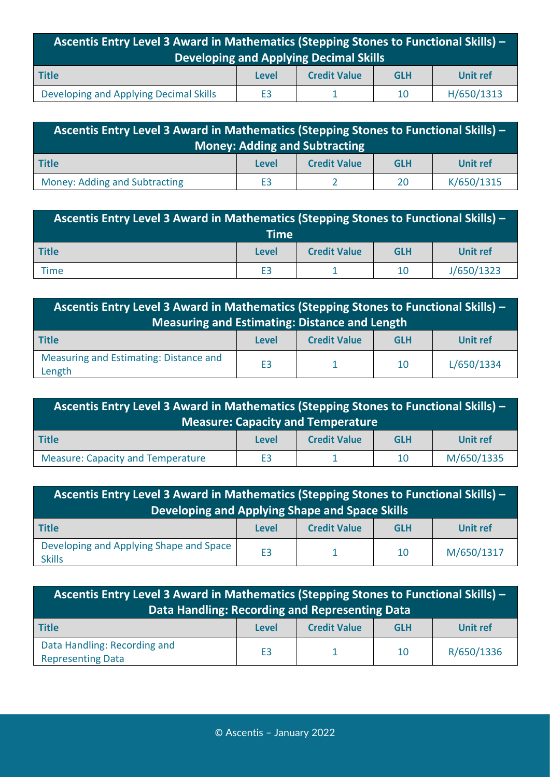| Ascentis Entry Level 3 Award in Mathematics (Stepping Stones to Functional Skills) -<br>Developing and Applying Decimal Skills |                |                     |            |                 |
|--------------------------------------------------------------------------------------------------------------------------------|----------------|---------------------|------------|-----------------|
| <b>Title</b>                                                                                                                   | Level          | <b>Credit Value</b> | <b>GLH</b> | <b>Unit ref</b> |
| Developing and Applying Decimal Skills                                                                                         | E <sub>3</sub> |                     | 10         | H/650/1313      |

| Ascentis Entry Level 3 Award in Mathematics (Stepping Stones to Functional Skills) -<br><b>Money: Adding and Subtracting</b> |       |                     |            |            |
|------------------------------------------------------------------------------------------------------------------------------|-------|---------------------|------------|------------|
| Title                                                                                                                        | Level | <b>Credit Value</b> | <b>GLH</b> | Unit ref   |
| Money: Adding and Subtracting                                                                                                | E3    |                     | 20         | K/650/1315 |

| <b>Ascentis Entry Level 3 Award in Mathematics (Stepping Stones to Functional Skills)</b> $-$<br><b>Time</b> |                |                     |            |                 |
|--------------------------------------------------------------------------------------------------------------|----------------|---------------------|------------|-----------------|
| Title                                                                                                        | <b>Level</b>   | <b>Credit Value</b> | <b>GLH</b> | <b>Unit ref</b> |
| <b>Time</b>                                                                                                  | E <sub>3</sub> |                     | 10         | J/650/1323      |

| Ascentis Entry Level 3 Award in Mathematics (Stepping Stones to Functional Skills) -<br><b>Measuring and Estimating: Distance and Length</b> |                |                     |            |                 |
|----------------------------------------------------------------------------------------------------------------------------------------------|----------------|---------------------|------------|-----------------|
| <b>Title</b>                                                                                                                                 | Level          | <b>Credit Value</b> | <b>GLH</b> | <b>Unit ref</b> |
| Measuring and Estimating: Distance and<br>Length                                                                                             | E <sub>3</sub> |                     | 10         | L/650/1334      |

| Ascentis Entry Level 3 Award in Mathematics (Stepping Stones to Functional Skills) -<br>Measure: Capacity and Tem <u>perature</u> |                |                     |            |            |
|-----------------------------------------------------------------------------------------------------------------------------------|----------------|---------------------|------------|------------|
| <b>Title</b>                                                                                                                      | Level          | <b>Credit Value</b> | <b>GLH</b> | Unit ref   |
| <b>Measure: Capacity and Temperature</b>                                                                                          | E <sub>3</sub> |                     | 10         | M/650/1335 |

| Ascentis Entry Level 3 Award in Mathematics (Stepping Stones to Functional Skills) -<br>Developing and Applying Shape and Space Skills |                |                     |            |                 |
|----------------------------------------------------------------------------------------------------------------------------------------|----------------|---------------------|------------|-----------------|
| <b>Title</b>                                                                                                                           | <b>Level</b>   | <b>Credit Value</b> | <b>GLH</b> | <b>Unit ref</b> |
| Developing and Applying Shape and Space<br><b>Skills</b>                                                                               | E <sub>3</sub> |                     | 10         | M/650/1317      |

| Ascentis Entry Level 3 Award in Mathematics (Stepping Stones to Functional Skills) -<br>Data Handling: Recording and Representing Data |                |                     |            |            |
|----------------------------------------------------------------------------------------------------------------------------------------|----------------|---------------------|------------|------------|
| <b>Title</b>                                                                                                                           | Level          | <b>Credit Value</b> | <b>GLH</b> | Unit ref   |
| Data Handling: Recording and<br><b>Representing Data</b>                                                                               | E <sub>3</sub> |                     | 10         | R/650/1336 |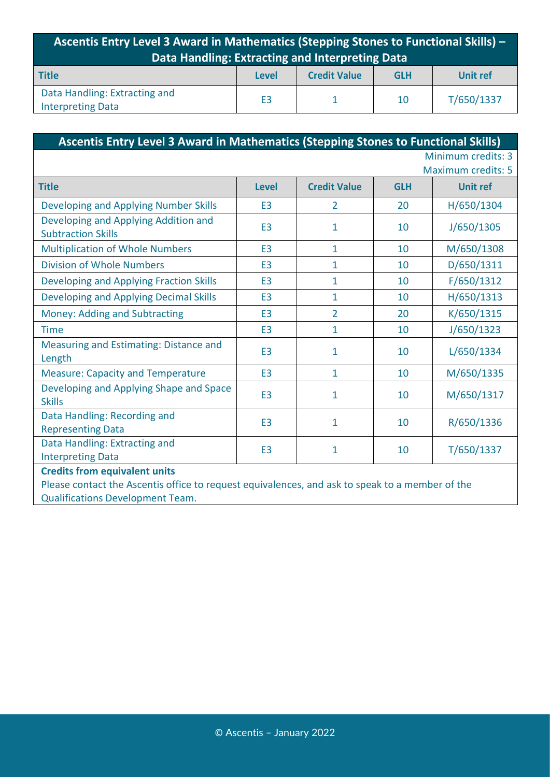| Ascentis Entry Level 3 Award in Mathematics (Stepping Stones to Functional Skills) -<br>Data Handling: Extracting and Interpreting Data |                |                     |            |                 |
|-----------------------------------------------------------------------------------------------------------------------------------------|----------------|---------------------|------------|-----------------|
| <b>Title</b>                                                                                                                            | Level          | <b>Credit Value</b> | <b>GLH</b> | <b>Unit ref</b> |
| Data Handling: Extracting and<br><b>Interpreting Data</b>                                                                               | E <sub>3</sub> |                     | 10         | T/650/1337      |

| Ascentis Entry Level 3 Award in Mathematics (Stepping Stones to Functional Skills)              |                |                     |            |                                                 |
|-------------------------------------------------------------------------------------------------|----------------|---------------------|------------|-------------------------------------------------|
|                                                                                                 |                |                     |            | Minimum credits: 3<br><b>Maximum credits: 5</b> |
| <b>Title</b>                                                                                    | <b>Level</b>   | <b>Credit Value</b> | <b>GLH</b> | <b>Unit ref</b>                                 |
| <b>Developing and Applying Number Skills</b>                                                    | E <sub>3</sub> | $\overline{2}$      | 20         | H/650/1304                                      |
| Developing and Applying Addition and<br><b>Subtraction Skills</b>                               | E <sub>3</sub> | 1                   | 10         | J/650/1305                                      |
| <b>Multiplication of Whole Numbers</b>                                                          | E <sub>3</sub> | $\mathbf{1}$        | 10         | M/650/1308                                      |
| <b>Division of Whole Numbers</b>                                                                | E <sub>3</sub> | 1                   | 10         | D/650/1311                                      |
| <b>Developing and Applying Fraction Skills</b>                                                  | E <sub>3</sub> | $\overline{1}$      | 10         | F/650/1312                                      |
| <b>Developing and Applying Decimal Skills</b>                                                   | E <sub>3</sub> | $\mathbf{1}$        | 10         | H/650/1313                                      |
| <b>Money: Adding and Subtracting</b>                                                            | E <sub>3</sub> | $\overline{2}$      | 20         | K/650/1315                                      |
| <b>Time</b>                                                                                     | E <sub>3</sub> | $\mathbf{1}$        | 10         | J/650/1323                                      |
| Measuring and Estimating: Distance and<br>Length                                                | E <sub>3</sub> | $\mathbf{1}$        | 10         | L/650/1334                                      |
| <b>Measure: Capacity and Temperature</b>                                                        | E <sub>3</sub> | $\mathbf{1}$        | 10         | M/650/1335                                      |
| Developing and Applying Shape and Space<br><b>Skills</b>                                        | E <sub>3</sub> | 1                   | 10         | M/650/1317                                      |
| Data Handling: Recording and<br><b>Representing Data</b>                                        | E <sub>3</sub> | 1                   | 10         | R/650/1336                                      |
| Data Handling: Extracting and<br><b>Interpreting Data</b>                                       | E <sub>3</sub> | 1                   | 10         | T/650/1337                                      |
| <b>Credits from equivalent units</b>                                                            |                |                     |            |                                                 |
| Please contact the Ascentis office to request equivalences, and ask to speak to a member of the |                |                     |            |                                                 |

Qualifications Development Team.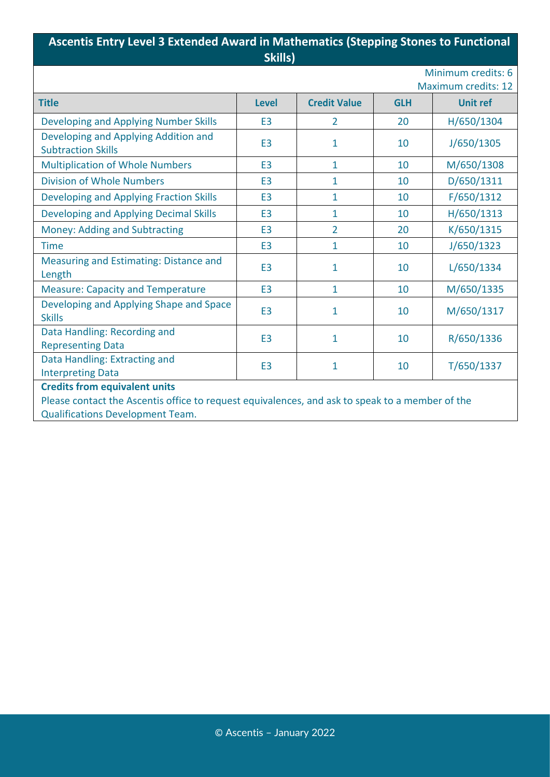#### **Ascentis Entry Level 3 Extended Award in Mathematics (Stepping Stones to Functional Skills)**

|  | ikills) |  |
|--|---------|--|
|  |         |  |

Minimum credits: 6 Maximum credits: 12

| IVIDAIIIUIII U CUILS. IZ                                                                        |                |                     |            |                 |  |
|-------------------------------------------------------------------------------------------------|----------------|---------------------|------------|-----------------|--|
| <b>Title</b>                                                                                    | <b>Level</b>   | <b>Credit Value</b> | <b>GLH</b> | <b>Unit ref</b> |  |
| Developing and Applying Number Skills                                                           | E <sub>3</sub> | $\overline{2}$      | 20         | H/650/1304      |  |
| Developing and Applying Addition and<br><b>Subtraction Skills</b>                               | E <sub>3</sub> | $\mathbf{1}$        | 10         | J/650/1305      |  |
| <b>Multiplication of Whole Numbers</b>                                                          | E <sub>3</sub> | $\mathbf{1}$        | 10         | M/650/1308      |  |
| <b>Division of Whole Numbers</b>                                                                | E <sub>3</sub> | $\mathbf{1}$        | 10         | D/650/1311      |  |
| <b>Developing and Applying Fraction Skills</b>                                                  | E <sub>3</sub> | $\mathbf{1}$        | 10         | F/650/1312      |  |
| <b>Developing and Applying Decimal Skills</b>                                                   | E <sub>3</sub> | $\mathbf{1}$        | 10         | H/650/1313      |  |
| Money: Adding and Subtracting                                                                   | E <sub>3</sub> | $\overline{2}$      | 20         | K/650/1315      |  |
| <b>Time</b>                                                                                     | E <sub>3</sub> | $\mathbf{1}$        | 10         | J/650/1323      |  |
| Measuring and Estimating: Distance and<br>Length                                                | E <sub>3</sub> | $\mathbf{1}$        | 10         | L/650/1334      |  |
| <b>Measure: Capacity and Temperature</b>                                                        | E <sub>3</sub> | $\mathbf{1}$        | 10         | M/650/1335      |  |
| Developing and Applying Shape and Space<br><b>Skills</b>                                        | E <sub>3</sub> | $\mathbf{1}$        | 10         | M/650/1317      |  |
| Data Handling: Recording and<br><b>Representing Data</b>                                        | E <sub>3</sub> | $\mathbf{1}$        | 10         | R/650/1336      |  |
| Data Handling: Extracting and<br><b>Interpreting Data</b>                                       | E <sub>3</sub> | 1                   | 10         | T/650/1337      |  |
| <b>Credits from equivalent units</b>                                                            |                |                     |            |                 |  |
| Please contact the Ascentis office to request equivalences, and ask to speak to a member of the |                |                     |            |                 |  |
| <b>Qualifications Development Team.</b>                                                         |                |                     |            |                 |  |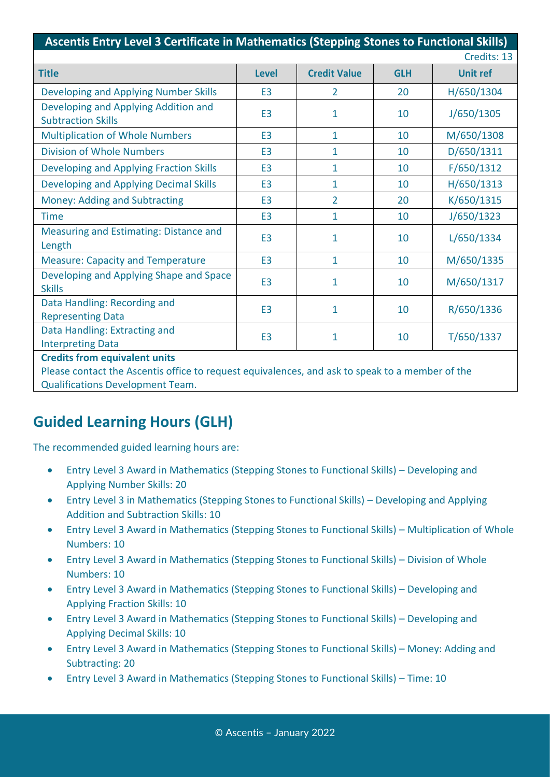| Ascentis Entry Level 3 Certificate in Mathematics (Stepping Stones to Functional Skills)                                                |                |                     |            |                 |
|-----------------------------------------------------------------------------------------------------------------------------------------|----------------|---------------------|------------|-----------------|
|                                                                                                                                         |                |                     |            | Credits: 13     |
| <b>Title</b>                                                                                                                            | <b>Level</b>   | <b>Credit Value</b> | <b>GLH</b> | <b>Unit ref</b> |
| Developing and Applying Number Skills                                                                                                   | E <sub>3</sub> | $\overline{2}$      | 20         | H/650/1304      |
| Developing and Applying Addition and<br><b>Subtraction Skills</b>                                                                       | E <sub>3</sub> | 1                   | 10         | J/650/1305      |
| <b>Multiplication of Whole Numbers</b>                                                                                                  | E <sub>3</sub> | $\mathbf{1}$        | 10         | M/650/1308      |
| <b>Division of Whole Numbers</b>                                                                                                        | E <sub>3</sub> | 1                   | 10         | D/650/1311      |
| <b>Developing and Applying Fraction Skills</b>                                                                                          | E <sub>3</sub> | 1                   | 10         | F/650/1312      |
| <b>Developing and Applying Decimal Skills</b>                                                                                           | E <sub>3</sub> | 1                   | 10         | H/650/1313      |
| <b>Money: Adding and Subtracting</b>                                                                                                    | E <sub>3</sub> | $\overline{2}$      | 20         | K/650/1315      |
| <b>Time</b>                                                                                                                             | E <sub>3</sub> | 1                   | 10         | J/650/1323      |
| Measuring and Estimating: Distance and<br>Length                                                                                        | E <sub>3</sub> | 1                   | 10         | L/650/1334      |
| <b>Measure: Capacity and Temperature</b>                                                                                                | E <sub>3</sub> | 1                   | 10         | M/650/1335      |
| Developing and Applying Shape and Space<br><b>Skills</b>                                                                                | E <sub>3</sub> | $\mathbf{1}$        | 10         | M/650/1317      |
| Data Handling: Recording and<br><b>Representing Data</b>                                                                                | E <sub>3</sub> | $\mathbf{1}$        | 10         | R/650/1336      |
| Data Handling: Extracting and<br><b>Interpreting Data</b>                                                                               | E <sub>3</sub> | 1                   | 10         | T/650/1337      |
| <b>Credits from equivalent units</b><br>Please contact the Ascentis office to request equivalences, and ask to speak to a member of the |                |                     |            |                 |
| <b>Qualifications Development Team.</b>                                                                                                 |                |                     |            |                 |

## **Guided Learning Hours (GLH)**

The recommended guided learning hours are:

- Entry Level 3 Award in Mathematics (Stepping Stones to Functional Skills) Developing and Applying Number Skills: 20
- Entry Level 3 in Mathematics (Stepping Stones to Functional Skills) Developing and Applying Addition and Subtraction Skills: 10
- Entry Level 3 Award in Mathematics (Stepping Stones to Functional Skills) Multiplication of Whole Numbers: 10
- Entry Level 3 Award in Mathematics (Stepping Stones to Functional Skills) Division of Whole Numbers: 10
- Entry Level 3 Award in Mathematics (Stepping Stones to Functional Skills) Developing and Applying Fraction Skills: 10
- Entry Level 3 Award in Mathematics (Stepping Stones to Functional Skills) Developing and Applying Decimal Skills: 10
- Entry Level 3 Award in Mathematics (Stepping Stones to Functional Skills) Money: Adding and Subtracting: 20
- Entry Level 3 Award in Mathematics (Stepping Stones to Functional Skills) Time: 10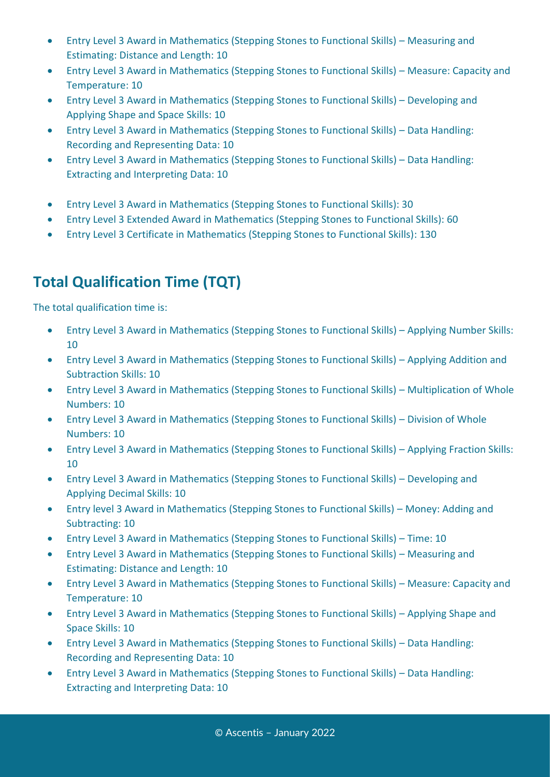- Entry Level 3 Award in Mathematics (Stepping Stones to Functional Skills) Measuring and Estimating: Distance and Length: 10
- Entry Level 3 Award in Mathematics (Stepping Stones to Functional Skills) Measure: Capacity and Temperature: 10
- Entry Level 3 Award in Mathematics (Stepping Stones to Functional Skills) Developing and Applying Shape and Space Skills: 10
- Entry Level 3 Award in Mathematics (Stepping Stones to Functional Skills) Data Handling: Recording and Representing Data: 10
- Entry Level 3 Award in Mathematics (Stepping Stones to Functional Skills) Data Handling: Extracting and Interpreting Data: 10
- Entry Level 3 Award in Mathematics (Stepping Stones to Functional Skills): 30
- Entry Level 3 Extended Award in Mathematics (Stepping Stones to Functional Skills): 60
- Entry Level 3 Certificate in Mathematics (Stepping Stones to Functional Skills): 130

## **Total Qualification Time (TQT)**

The total qualification time is:

- Entry Level 3 Award in Mathematics (Stepping Stones to Functional Skills) Applying Number Skills: 10
- Entry Level 3 Award in Mathematics (Stepping Stones to Functional Skills) Applying Addition and Subtraction Skills: 10
- Entry Level 3 Award in Mathematics (Stepping Stones to Functional Skills) Multiplication of Whole Numbers: 10
- Entry Level 3 Award in Mathematics (Stepping Stones to Functional Skills) Division of Whole Numbers: 10
- Entry Level 3 Award in Mathematics (Stepping Stones to Functional Skills) Applying Fraction Skills: 10
- Entry Level 3 Award in Mathematics (Stepping Stones to Functional Skills) Developing and Applying Decimal Skills: 10
- Entry level 3 Award in Mathematics (Stepping Stones to Functional Skills) Money: Adding and Subtracting: 10
- Entry Level 3 Award in Mathematics (Stepping Stones to Functional Skills) Time: 10
- Entry Level 3 Award in Mathematics (Stepping Stones to Functional Skills) Measuring and Estimating: Distance and Length: 10
- Entry Level 3 Award in Mathematics (Stepping Stones to Functional Skills) Measure: Capacity and Temperature: 10
- Entry Level 3 Award in Mathematics (Stepping Stones to Functional Skills) Applying Shape and Space Skills: 10
- Entry Level 3 Award in Mathematics (Stepping Stones to Functional Skills) Data Handling: Recording and Representing Data: 10
- Entry Level 3 Award in Mathematics (Stepping Stones to Functional Skills) Data Handling: Extracting and Interpreting Data: 10